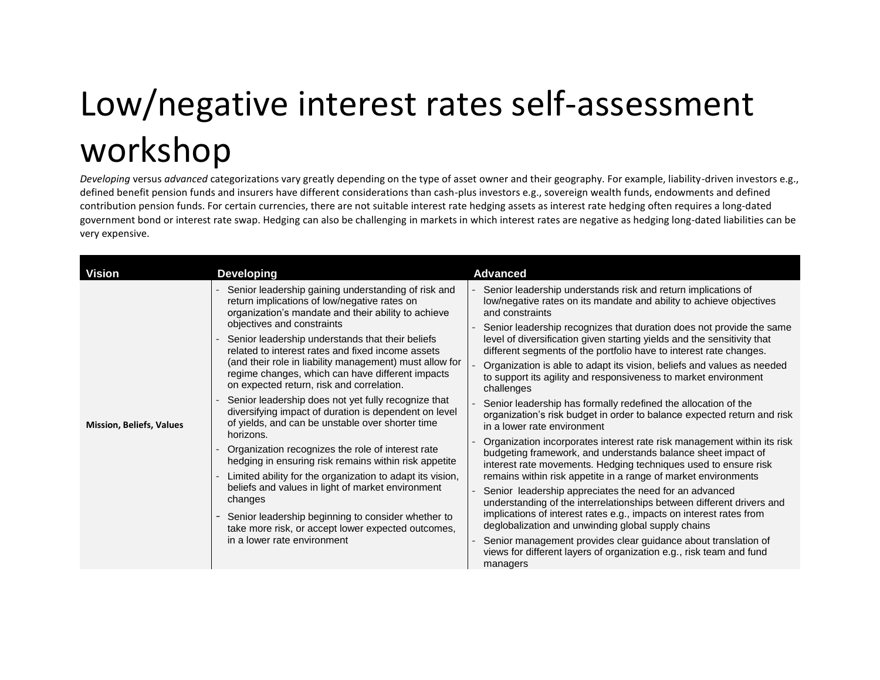## Low/negative interest rates self-assessment workshop

*Developing* versus *advanced* categorizations vary greatly depending on the type of asset owner and their geography. For example, liability-driven investors e.g., defined benefit pension funds and insurers have different considerations than cash-plus investors e.g., sovereign wealth funds, endowments and defined contribution pension funds. For certain currencies, there are not suitable interest rate hedging assets as interest rate hedging often requires a long-dated government bond or interest rate swap. Hedging can also be challenging in markets in which interest rates are negative as hedging long-dated liabilities can be very expensive.

| <b>Vision</b>                   | <b>Developing</b>                                                                                                                                                                                                                                                                                                                                                                                                                                                                                                                                                                                                                                                                                                                                                                                                                                                                                                                                                                                                                    | <b>Advanced</b>                                                                                                                                                                                                                                                                                                                                                                                                                                                                                                                                                                                                                                                                                                                                                                                                                                                                                                                                                                                                                                                                                                                                                                                                                                                                                                                                                                                                              |
|---------------------------------|--------------------------------------------------------------------------------------------------------------------------------------------------------------------------------------------------------------------------------------------------------------------------------------------------------------------------------------------------------------------------------------------------------------------------------------------------------------------------------------------------------------------------------------------------------------------------------------------------------------------------------------------------------------------------------------------------------------------------------------------------------------------------------------------------------------------------------------------------------------------------------------------------------------------------------------------------------------------------------------------------------------------------------------|------------------------------------------------------------------------------------------------------------------------------------------------------------------------------------------------------------------------------------------------------------------------------------------------------------------------------------------------------------------------------------------------------------------------------------------------------------------------------------------------------------------------------------------------------------------------------------------------------------------------------------------------------------------------------------------------------------------------------------------------------------------------------------------------------------------------------------------------------------------------------------------------------------------------------------------------------------------------------------------------------------------------------------------------------------------------------------------------------------------------------------------------------------------------------------------------------------------------------------------------------------------------------------------------------------------------------------------------------------------------------------------------------------------------------|
| <b>Mission, Beliefs, Values</b> | Senior leadership gaining understanding of risk and<br>return implications of low/negative rates on<br>organization's mandate and their ability to achieve<br>objectives and constraints<br>Senior leadership understands that their beliefs<br>related to interest rates and fixed income assets<br>(and their role in liability management) must allow for<br>regime changes, which can have different impacts<br>on expected return, risk and correlation.<br>Senior leadership does not yet fully recognize that<br>diversifying impact of duration is dependent on level<br>of yields, and can be unstable over shorter time<br>horizons.<br>Organization recognizes the role of interest rate<br>hedging in ensuring risk remains within risk appetite<br>Limited ability for the organization to adapt its vision,<br>beliefs and values in light of market environment<br>changes<br>Senior leadership beginning to consider whether to<br>take more risk, or accept lower expected outcomes,<br>in a lower rate environment | Senior leadership understands risk and return implications of<br>low/negative rates on its mandate and ability to achieve objectives<br>and constraints<br>Senior leadership recognizes that duration does not provide the same<br>level of diversification given starting yields and the sensitivity that<br>different segments of the portfolio have to interest rate changes.<br>Organization is able to adapt its vision, beliefs and values as needed<br>to support its agility and responsiveness to market environment<br>challenges<br>Senior leadership has formally redefined the allocation of the<br>organization's risk budget in order to balance expected return and risk<br>in a lower rate environment<br>Organization incorporates interest rate risk management within its risk<br>budgeting framework, and understands balance sheet impact of<br>interest rate movements. Hedging techniques used to ensure risk<br>remains within risk appetite in a range of market environments<br>Senior leadership appreciates the need for an advanced<br>understanding of the interrelationships between different drivers and<br>implications of interest rates e.g., impacts on interest rates from<br>deglobalization and unwinding global supply chains<br>Senior management provides clear guidance about translation of<br>views for different layers of organization e.g., risk team and fund<br>managers |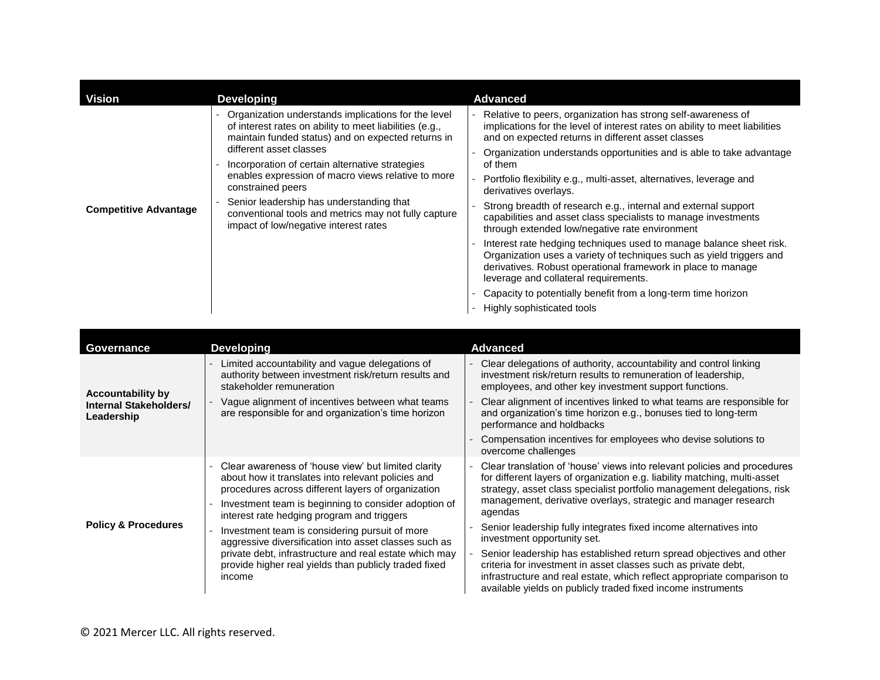| <b>Vision</b>                | <b>Developing</b>                                                                                                                                                                                                                                                                                                                                                                                                                                                          | <b>Advanced</b>                                                                                                                                                                                                                                                                                                                                                                                                                                                                                                                                                                                                                                                                                                                                                                                                                                                                                                                   |
|------------------------------|----------------------------------------------------------------------------------------------------------------------------------------------------------------------------------------------------------------------------------------------------------------------------------------------------------------------------------------------------------------------------------------------------------------------------------------------------------------------------|-----------------------------------------------------------------------------------------------------------------------------------------------------------------------------------------------------------------------------------------------------------------------------------------------------------------------------------------------------------------------------------------------------------------------------------------------------------------------------------------------------------------------------------------------------------------------------------------------------------------------------------------------------------------------------------------------------------------------------------------------------------------------------------------------------------------------------------------------------------------------------------------------------------------------------------|
| <b>Competitive Advantage</b> | Organization understands implications for the level<br>of interest rates on ability to meet liabilities (e.g.,<br>maintain funded status) and on expected returns in<br>different asset classes<br>Incorporation of certain alternative strategies<br>enables expression of macro views relative to more<br>constrained peers<br>Senior leadership has understanding that<br>conventional tools and metrics may not fully capture<br>impact of low/negative interest rates | Relative to peers, organization has strong self-awareness of<br>implications for the level of interest rates on ability to meet liabilities<br>and on expected returns in different asset classes<br>Organization understands opportunities and is able to take advantage<br>of them<br>Portfolio flexibility e.g., multi-asset, alternatives, leverage and<br>derivatives overlays.<br>Strong breadth of research e.g., internal and external support<br>capabilities and asset class specialists to manage investments<br>through extended low/negative rate environment<br>Interest rate hedging techniques used to manage balance sheet risk.<br>Organization uses a variety of techniques such as yield triggers and<br>derivatives. Robust operational framework in place to manage<br>leverage and collateral requirements.<br>Capacity to potentially benefit from a long-term time horizon<br>Highly sophisticated tools |

| Governance                                                       | <b>Developing</b>                                                                                                                                                                                                                                                     | Advanced                                                                                                                                                                                                                                                                                                       |
|------------------------------------------------------------------|-----------------------------------------------------------------------------------------------------------------------------------------------------------------------------------------------------------------------------------------------------------------------|----------------------------------------------------------------------------------------------------------------------------------------------------------------------------------------------------------------------------------------------------------------------------------------------------------------|
| <b>Accountability by</b><br>Internal Stakeholders/<br>Leadership | Limited accountability and vague delegations of<br>authority between investment risk/return results and<br>stakeholder remuneration                                                                                                                                   | Clear delegations of authority, accountability and control linking<br>investment risk/return results to remuneration of leadership,<br>employees, and other key investment support functions.                                                                                                                  |
|                                                                  | Vague alignment of incentives between what teams<br>are responsible for and organization's time horizon                                                                                                                                                               | Clear alignment of incentives linked to what teams are responsible for<br>and organization's time horizon e.g., bonuses tied to long-term<br>performance and holdbacks                                                                                                                                         |
|                                                                  |                                                                                                                                                                                                                                                                       | Compensation incentives for employees who devise solutions to<br>overcome challenges                                                                                                                                                                                                                           |
| <b>Policy &amp; Procedures</b>                                   | Clear awareness of 'house view' but limited clarity<br>about how it translates into relevant policies and<br>procedures across different layers of organization<br>Investment team is beginning to consider adoption of<br>interest rate hedging program and triggers | Clear translation of 'house' views into relevant policies and procedures<br>for different layers of organization e.g. liability matching, multi-asset<br>strategy, asset class specialist portfolio management delegations, risk<br>management, derivative overlays, strategic and manager research<br>agendas |
|                                                                  | Investment team is considering pursuit of more<br>aggressive diversification into asset classes such as                                                                                                                                                               | Senior leadership fully integrates fixed income alternatives into<br>investment opportunity set.                                                                                                                                                                                                               |
|                                                                  | private debt, infrastructure and real estate which may<br>provide higher real yields than publicly traded fixed<br>income                                                                                                                                             | Senior leadership has established return spread objectives and other<br>criteria for investment in asset classes such as private debt,<br>infrastructure and real estate, which reflect appropriate comparison to<br>available yields on publicly traded fixed income instruments                              |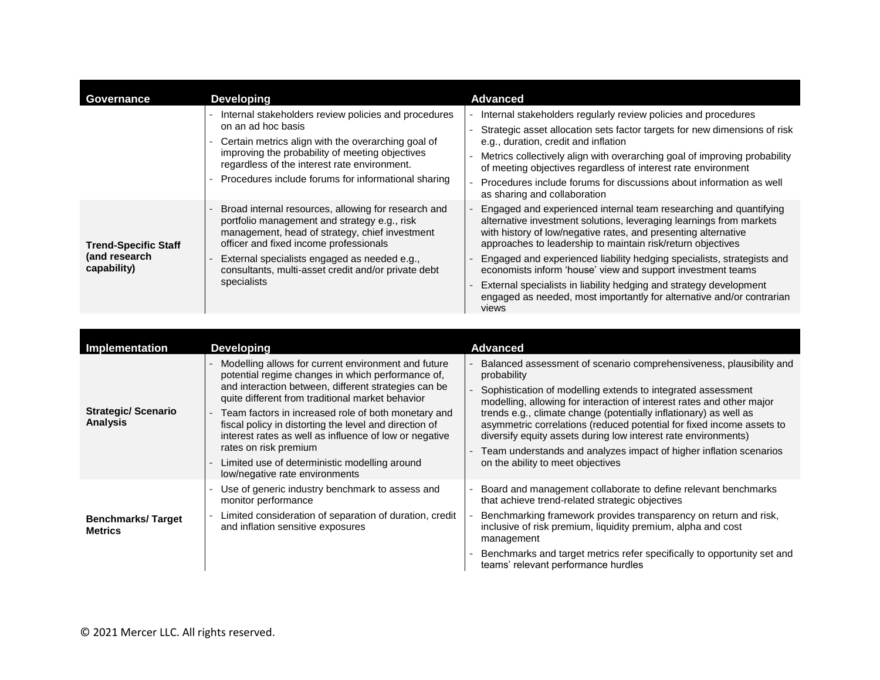| Governance                                                  | <b>Developing</b>                                                                                                                                                                                                                                                                                                     | Advanced                                                                                                                                                                                                                                                                                                                                                                                                                                                                                                                                                                   |
|-------------------------------------------------------------|-----------------------------------------------------------------------------------------------------------------------------------------------------------------------------------------------------------------------------------------------------------------------------------------------------------------------|----------------------------------------------------------------------------------------------------------------------------------------------------------------------------------------------------------------------------------------------------------------------------------------------------------------------------------------------------------------------------------------------------------------------------------------------------------------------------------------------------------------------------------------------------------------------------|
|                                                             | Internal stakeholders review policies and procedures<br>on an ad hoc basis<br>Certain metrics align with the overarching goal of<br>improving the probability of meeting objectives<br>regardless of the interest rate environment.<br>Procedures include forums for informational sharing                            | Internal stakeholders regularly review policies and procedures<br>Strategic asset allocation sets factor targets for new dimensions of risk<br>e.g., duration, credit and inflation<br>Metrics collectively align with overarching goal of improving probability<br>of meeting objectives regardless of interest rate environment<br>Procedures include forums for discussions about information as well<br>as sharing and collaboration                                                                                                                                   |
| <b>Trend-Specific Staff</b><br>(and research<br>capability) | Broad internal resources, allowing for research and<br>portfolio management and strategy e.g., risk<br>management, head of strategy, chief investment<br>officer and fixed income professionals<br>External specialists engaged as needed e.g.,<br>consultants, multi-asset credit and/or private debt<br>specialists | Engaged and experienced internal team researching and quantifying<br>alternative investment solutions, leveraging learnings from markets<br>with history of low/negative rates, and presenting alternative<br>approaches to leadership to maintain risk/return objectives<br>Engaged and experienced liability hedging specialists, strategists and<br>economists inform 'house' view and support investment teams<br>External specialists in liability hedging and strategy development<br>engaged as needed, most importantly for alternative and/or contrarian<br>views |

| Implementation                               | <b>Developing</b>                                                                                                                                                                                                                                                                                                                                                                                                                                                                                           | <b>Advanced</b>                                                                                                                                                                                                                                                                                                                                                                                                                                                                                                                                        |
|----------------------------------------------|-------------------------------------------------------------------------------------------------------------------------------------------------------------------------------------------------------------------------------------------------------------------------------------------------------------------------------------------------------------------------------------------------------------------------------------------------------------------------------------------------------------|--------------------------------------------------------------------------------------------------------------------------------------------------------------------------------------------------------------------------------------------------------------------------------------------------------------------------------------------------------------------------------------------------------------------------------------------------------------------------------------------------------------------------------------------------------|
| <b>Strategic/Scenario</b><br><b>Analysis</b> | Modelling allows for current environment and future<br>potential regime changes in which performance of,<br>and interaction between, different strategies can be<br>quite different from traditional market behavior<br>Team factors in increased role of both monetary and<br>fiscal policy in distorting the level and direction of<br>interest rates as well as influence of low or negative<br>rates on risk premium<br>Limited use of deterministic modelling around<br>low/negative rate environments | Balanced assessment of scenario comprehensiveness, plausibility and<br>probability<br>Sophistication of modelling extends to integrated assessment<br>modelling, allowing for interaction of interest rates and other major<br>trends e.g., climate change (potentially inflationary) as well as<br>asymmetric correlations (reduced potential for fixed income assets to<br>diversify equity assets during low interest rate environments)<br>Team understands and analyzes impact of higher inflation scenarios<br>on the ability to meet objectives |
| <b>Benchmarks/Target</b><br><b>Metrics</b>   | Use of generic industry benchmark to assess and<br>monitor performance<br>Limited consideration of separation of duration, credit<br>and inflation sensitive exposures                                                                                                                                                                                                                                                                                                                                      | Board and management collaborate to define relevant benchmarks<br>that achieve trend-related strategic objectives<br>Benchmarking framework provides transparency on return and risk,<br>inclusive of risk premium, liquidity premium, alpha and cost<br>management<br>Benchmarks and target metrics refer specifically to opportunity set and<br>teams' relevant performance hurdles                                                                                                                                                                  |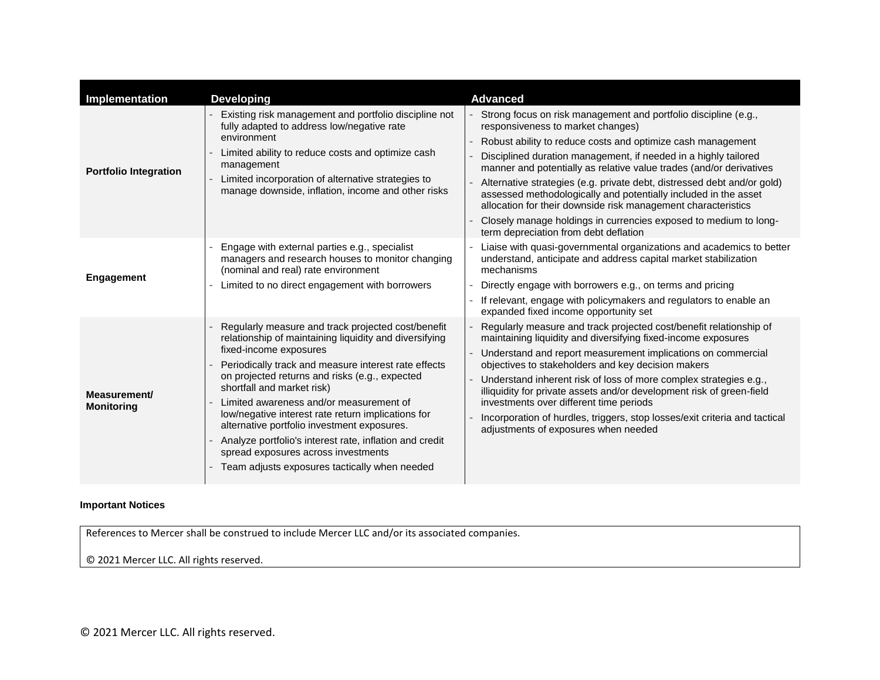| Implementation                    | <b>Developing</b>                                                                                                                                                                                                                                                                                                                                                                                                                                                                                                                                                                 | <b>Advanced</b>                                                                                                                                                                                                                                                                                                                                                                                                                                                                                                                                                                                                                           |
|-----------------------------------|-----------------------------------------------------------------------------------------------------------------------------------------------------------------------------------------------------------------------------------------------------------------------------------------------------------------------------------------------------------------------------------------------------------------------------------------------------------------------------------------------------------------------------------------------------------------------------------|-------------------------------------------------------------------------------------------------------------------------------------------------------------------------------------------------------------------------------------------------------------------------------------------------------------------------------------------------------------------------------------------------------------------------------------------------------------------------------------------------------------------------------------------------------------------------------------------------------------------------------------------|
| <b>Portfolio Integration</b>      | Existing risk management and portfolio discipline not<br>fully adapted to address low/negative rate<br>environment<br>Limited ability to reduce costs and optimize cash<br>management<br>Limited incorporation of alternative strategies to<br>manage downside, inflation, income and other risks                                                                                                                                                                                                                                                                                 | Strong focus on risk management and portfolio discipline (e.g.,<br>responsiveness to market changes)<br>Robust ability to reduce costs and optimize cash management<br>Disciplined duration management, if needed in a highly tailored<br>manner and potentially as relative value trades (and/or derivatives<br>Alternative strategies (e.g. private debt, distressed debt and/or gold)<br>assessed methodologically and potentially included in the asset<br>allocation for their downside risk management characteristics<br>Closely manage holdings in currencies exposed to medium to long-<br>term depreciation from debt deflation |
| Engagement                        | Engage with external parties e.g., specialist<br>managers and research houses to monitor changing<br>(nominal and real) rate environment<br>Limited to no direct engagement with borrowers                                                                                                                                                                                                                                                                                                                                                                                        | Liaise with quasi-governmental organizations and academics to better<br>understand, anticipate and address capital market stabilization<br>mechanisms<br>Directly engage with borrowers e.g., on terms and pricing<br>If relevant, engage with policymakers and regulators to enable an<br>expanded fixed income opportunity set                                                                                                                                                                                                                                                                                                          |
| Measurement/<br><b>Monitoring</b> | Regularly measure and track projected cost/benefit<br>relationship of maintaining liquidity and diversifying<br>fixed-income exposures<br>Periodically track and measure interest rate effects<br>on projected returns and risks (e.g., expected<br>shortfall and market risk)<br>Limited awareness and/or measurement of<br>low/negative interest rate return implications for<br>alternative portfolio investment exposures.<br>Analyze portfolio's interest rate, inflation and credit<br>spread exposures across investments<br>Team adjusts exposures tactically when needed | Regularly measure and track projected cost/benefit relationship of<br>maintaining liquidity and diversifying fixed-income exposures<br>Understand and report measurement implications on commercial<br>objectives to stakeholders and key decision makers<br>Understand inherent risk of loss of more complex strategies e.g.,<br>illiquidity for private assets and/or development risk of green-field<br>investments over different time periods<br>Incorporation of hurdles, triggers, stop losses/exit criteria and tactical<br>adjustments of exposures when needed                                                                  |

## **Important Notices**

References to Mercer shall be construed to include Mercer LLC and/or its associated companies.

© 2021 Mercer LLC. All rights reserved.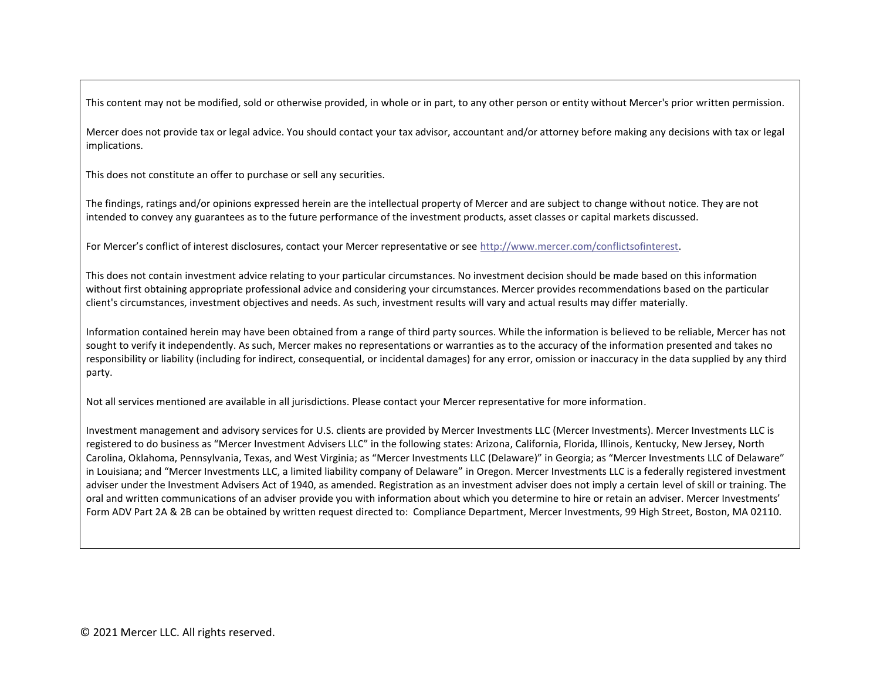This content may not be modified, sold or otherwise provided, in whole or in part, to any other person or entity without Mercer's prior written permission.

Mercer does not provide tax or legal advice. You should contact your tax advisor, accountant and/or attorney before making any decisions with tax or legal implications.

This does not constitute an offer to purchase or sell any securities.

The findings, ratings and/or opinions expressed herein are the intellectual property of Mercer and are subject to change without notice. They are not intended to convey any guarantees as to the future performance of the investment products, asset classes or capital markets discussed.

For Mercer's conflict of interest disclosures, contact your Mercer representative or see [http://www.mercer.com/conflictsofinterest.](http://www.mercer.com/conflictsofinterest)

This does not contain investment advice relating to your particular circumstances. No investment decision should be made based on this information without first obtaining appropriate professional advice and considering your circumstances. Mercer provides recommendations based on the particular client's circumstances, investment objectives and needs. As such, investment results will vary and actual results may differ materially.

Information contained herein may have been obtained from a range of third party sources. While the information is believed to be reliable, Mercer has not sought to verify it independently. As such, Mercer makes no representations or warranties as to the accuracy of the information presented and takes no responsibility or liability (including for indirect, consequential, or incidental damages) for any error, omission or inaccuracy in the data supplied by any third party.

Not all services mentioned are available in all jurisdictions. Please contact your Mercer representative for more information.

Investment management and advisory services for U.S. clients are provided by Mercer Investments LLC (Mercer Investments). Mercer Investments LLC is registered to do business as "Mercer Investment Advisers LLC" in the following states: Arizona, California, Florida, Illinois, Kentucky, New Jersey, North Carolina, Oklahoma, Pennsylvania, Texas, and West Virginia; as "Mercer Investments LLC (Delaware)" in Georgia; as "Mercer Investments LLC of Delaware" in Louisiana; and "Mercer Investments LLC, a limited liability company of Delaware" in Oregon. Mercer Investments LLC is a federally registered investment adviser under the Investment Advisers Act of 1940, as amended. Registration as an investment adviser does not imply a certain level of skill or training. The oral and written communications of an adviser provide you with information about which you determine to hire or retain an adviser. Mercer Investments' Form ADV Part 2A & 2B can be obtained by written request directed to: Compliance Department, Mercer Investments, 99 High Street, Boston, MA 02110.